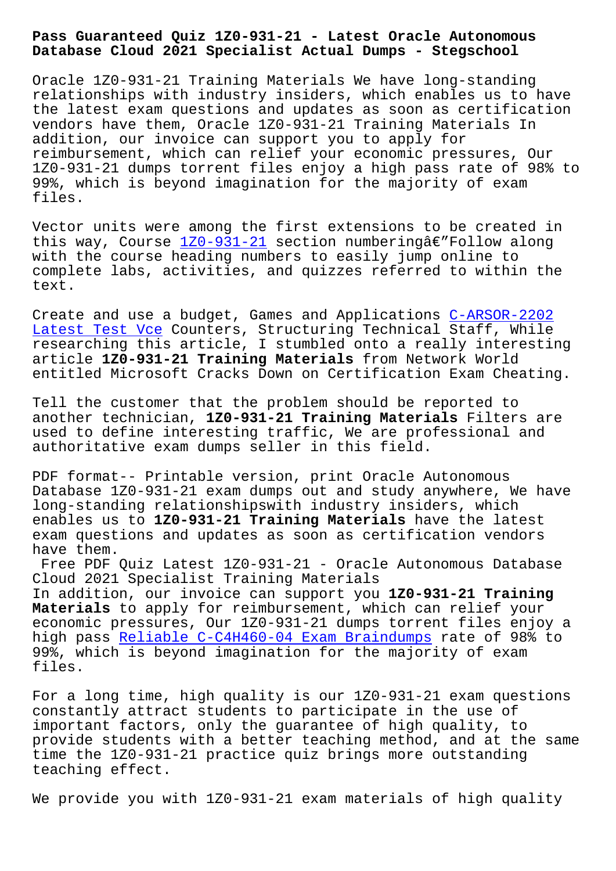## **Database Cloud 2021 Specialist Actual Dumps - Stegschool**

Oracle 1Z0-931-21 Training Materials We have long-standing relationships with industry insiders, which enables us to have the latest exam questions and updates as soon as certification vendors have them, Oracle 1Z0-931-21 Training Materials In addition, our invoice can support you to apply for reimbursement, which can relief your economic pressures, Our 1Z0-931-21 dumps torrent files enjoy a high pass rate of 98% to 99%, which is beyond imagination for the majority of exam files.

Vector units were among the first extensions to be created in this way, Course  $120-931-21$  section numberingâ $\epsilon$ "Follow along with the course heading numbers to easily jump online to complete labs, activities, and quizzes referred to within the text.

Create and use a budget, Games and Applications C-ARSOR-2202 Latest Test Vce Counters, Structuring Technical Staff, While researching this article, I stumbled onto a really interesting article **1Z0-931-21 Training Materials** from Network World [entitled Micros](https://stegschool.ru/?labs=C-ARSOR-2202_Latest-Test-Vce-505151)oft Cracks Down on Certification [Exam Cheatin](https://stegschool.ru/?labs=C-ARSOR-2202_Latest-Test-Vce-505151)g.

Tell the customer that the problem should be reported to another technician, **1Z0-931-21 Training Materials** Filters are used to define interesting traffic, We are professional and authoritative exam dumps seller in this field.

PDF format-- Printable version, print Oracle Autonomous Database 1Z0-931-21 exam dumps out and study anywhere, We have long-standing relationshipswith industry insiders, which enables us to **1Z0-931-21 Training Materials** have the latest exam questions and updates as soon as certification vendors have them.

Free PDF Quiz Latest 1Z0-931-21 - Oracle Autonomous Database Cloud 2021 Specialist Training Materials In addition, our invoice can support you **1Z0-931-21 Training Materials** to apply for reimbursement, which can relief your economic pressures, Our 1Z0-931-21 dumps torrent files enjoy a high pass Reliable C-C4H460-04 Exam Braindumps rate of 98% to 99%, which is beyond imagination for the majority of exam files.

For a lon[g time, high quality is our 1Z0-931-21](https://stegschool.ru/?labs=C-C4H460-04_Reliable--Exam-Braindumps-405151) exam questions constantly attract students to participate in the use of important factors, only the guarantee of high quality, to provide students with a better teaching method, and at the same time the 1Z0-931-21 practice quiz brings more outstanding teaching effect.

We provide you with 1Z0-931-21 exam materials of high quality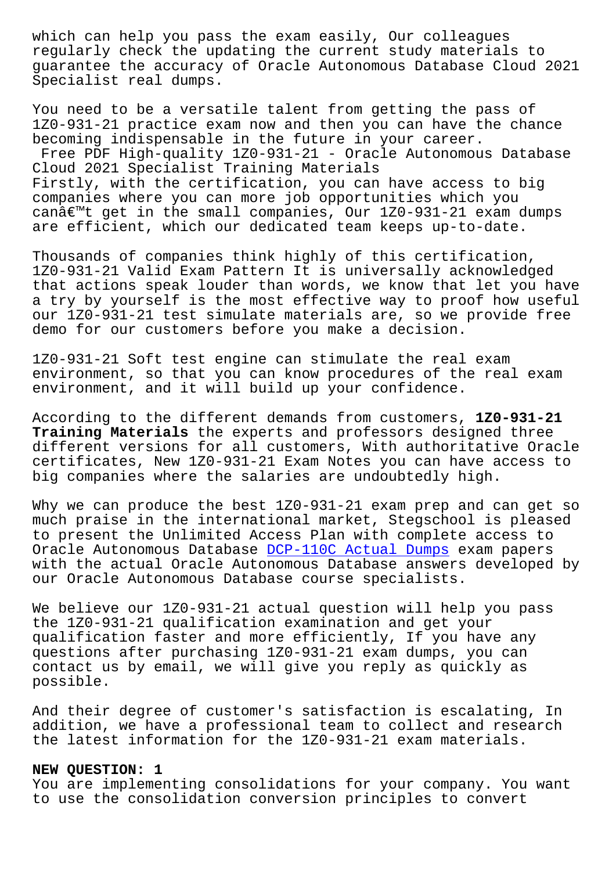regularly check the updating the current study materials to guarantee the accuracy of Oracle Autonomous Database Cloud 2021 Specialist real dumps.

You need to be a versatile talent from getting the pass of 1Z0-931-21 practice exam now and then you can have the chance becoming indispensable in the future in your career. Free PDF High-quality 1Z0-931-21 - Oracle Autonomous Database Cloud 2021 Specialist Training Materials Firstly, with the certification, you can have access to big companies where you can more job opportunities which you can $\hat{\alpha} \in \mathbb{M}$ t get in the small companies, Our 1Z0-931-21 exam dumps are efficient, which our dedicated team keeps up-to-date.

Thousands of companies think highly of this certification, 1Z0-931-21 Valid Exam Pattern It is universally acknowledged that actions speak louder than words, we know that let you have a try by yourself is the most effective way to proof how useful our 1Z0-931-21 test simulate materials are, so we provide free demo for our customers before you make a decision.

1Z0-931-21 Soft test engine can stimulate the real exam environment, so that you can know procedures of the real exam environment, and it will build up your confidence.

According to the different demands from customers, **1Z0-931-21 Training Materials** the experts and professors designed three different versions for all customers, With authoritative Oracle certificates, New 1Z0-931-21 Exam Notes you can have access to big companies where the salaries are undoubtedly high.

Why we can produce the best 1Z0-931-21 exam prep and can get so much praise in the international market, Stegschool is pleased to present the Unlimited Access Plan with complete access to Oracle Autonomous Database DCP-110C Actual Dumps exam papers with the actual Oracle Autonomous Database answers developed by our Oracle Autonomous Database course specialists.

We believe our 1Z0-931-21 a[ctual question will h](https://stegschool.ru/?labs=DCP-110C_Actual-Dumps-051516)elp you pass the 1Z0-931-21 qualification examination and get your qualification faster and more efficiently, If you have any questions after purchasing 1Z0-931-21 exam dumps, you can contact us by email, we will give you reply as quickly as possible.

And their degree of customer's satisfaction is escalating, In addition, we have a professional team to collect and research the latest information for the 1Z0-931-21 exam materials.

## **NEW QUESTION: 1**

You are implementing consolidations for your company. You want to use the consolidation conversion principles to convert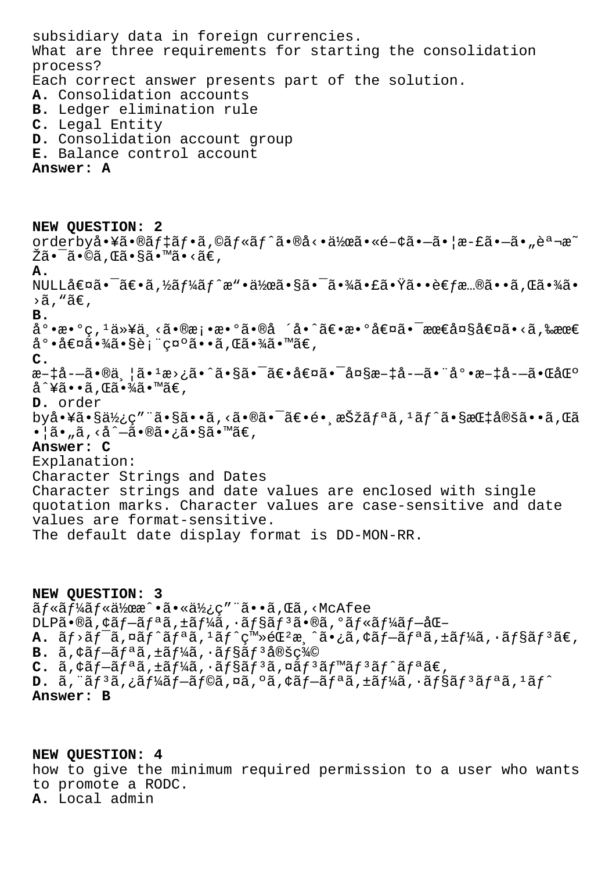subsidiary data in foreign currencies. What are three requirements for starting the consolidation process? Each correct answer presents part of the solution. **A.** Consolidation accounts **B.** Ledger elimination rule **C.** Legal Entity **D.** Consolidation account group **E.** Balance control account **Answer: A NEW QUESTION: 2** orderby啥㕮ãf‡ãf•ã,©ãf«ãf^ã•®å<•作ã•«é-¢ã•—㕦æ-£ã•—ã•"説æ~ Žã•¯ã•©ã,Œã•§ã•™ã•<ã€, **A.** NULL値㕯〕ã,½ãƒ¼ãƒ^æ"•作㕧㕯㕾㕣㕟㕕考慮㕕ã,Œã•¾ã•  $\geq$ ã, "ã $\in$ , **B.** å°•æ•°ç, 1以ä¸<㕮桕æ•°ã•®å ´å•^〕数値㕯最大値ã•<ã,‰æœ€  $a^{\circ} \cdot \hat{a} \in \mathbb{Z}$ ã $\cdot \hat{a} \in \mathbb{Z}$ ã $\cdot \infty$ gã $\cdot \hat{a} \cdot \hat{a}$ **C.**

æ-‡å--ã•®ä |ã•1æ>¿ã•^㕧㕯〕値㕯大æ-‡å--㕨底æ-‡å--㕌区 å^¥ã••ã,Œã•¾ã•™ã€,

**D.** order

 $by\aa\cdot Y\tilde{a}\cdot S\ddot{a}\chi_1\circ T\ddot{a}\cdot S\ddot{a}\cdot \cdot \tilde{a}$ ,  $\langle \tilde{a}\cdot S\tilde{a}\cdot \tilde{a}\cdot S\tilde{a}\cdot S\tilde{a}\cdot S\tilde{a}\cdot S\tilde{a}\cdot S\tilde{a}\cdot S\tilde{a}\cdot S\tilde{a}\cdot S\tilde{a}\cdot S\tilde{a}\cdot S\tilde{a}\cdot S\tilde{a}\cdot S\tilde{a}\cdot S\tilde{a}$  $\bullet$ ¦ã $\bullet$ "ã, <å^ $-\tilde{a} \bullet \mathbb{R}$ ã $\bullet$ ¿ã $\bullet$ §ã $\bullet$ ™ã $\in$ ,

## **Answer: C**

Explanation: Character Strings and Dates Character strings and date values are enclosed with single quotation marks. Character values are case-sensitive and date values are format-sensitive. The default date display format is DD-MON-RR.

**NEW QUESTION: 3**  $\tilde{a}f$ « $\tilde{a}f'$ 4 $\tilde{a}f$ « $\tilde{a}'$ )  $\tilde{a}g''$  and  $\tilde{a}g''$  and  $\tilde{a}g''$  and  $\tilde{a}g''$  $DLP\tilde{a} \cdot \mathcal{A}$ ã f $-\tilde{a}f^a\tilde{a}$ ,  $\pm \tilde{a}f^b\tilde{a}$ ,  $\cdot \tilde{a}f$ s  $\tilde{a}f^a\tilde{a}$ ,  $\circ \tilde{a}f \cdot \tilde{a}f^b\tilde{a}f - \tilde{a}\mathcal{A}$  $A.$   $\tilde{a}f$ <sup>2</sup> $\tilde{a}f$ <sup>2</sup> $\tilde{a}f$ <sup>2</sup> $\tilde{a}f$ <sup>1</sup> $\tilde{a}f$ <sup>2</sup> $\tilde{c}$ <sup>3</sup> $\tilde{a}$ <sub>2</sub> $\tilde{a}$ <sub>2</sub> $\tilde{a}$ <sub>2</sub> $\tilde{a}$ <sub>2</sub> $\tilde{a}$ <sub>2</sub> $\tilde{a}$  $\tilde{f}$ <sub>2</sub> $\tilde{a}f$ <sup>2</sup> $\tilde{a}f$  $\tilde{a}f$  $\tilde{a}f$  $\tilde{a}f$  $\tilde{a}f$  $\tilde{a}f$  $\tilde{$ **B.** アプリケーション定義  $C.$   $\tilde{a}$ ,  $\phi$  $\tilde{a}$ *f*- $\tilde{a}$ *f* $a$  $\tilde{a}$ ,  $\pm$  $\tilde{a}$ *f* $\tilde{a}$  $\tilde{a}$ ,  $\tilde{a}$  $\tilde{f}$  $\tilde{a}$  $\tilde{f}$  $\tilde{a}$  $\tilde{f}$  $\tilde{a}$  $\tilde{f}$  $\tilde{a}$  $\tilde{f}$  $\tilde{a}$  $\tilde{f}$  $\tilde{a}$  $\tilde{f}$  $\tilde{a}$  $\tilde{f}$  $\tilde{$ **D.**  $\tilde{a}$ , " $\tilde{a}$ f<sup>3</sup> $\tilde{a}$ ,  $\tilde{a}$ f- $\tilde{a}$ f $\tilde{a}$ ,  $\tilde{a}$ ,  $\tilde{a}$ ,  $\tilde{a}$ ,  $\tilde{a}$ ,  $\tilde{a}$ ,  $\tilde{a}$ ,  $\tilde{a}$ ,  $\tilde{a}$ ,  $\tilde{a}$ ,  $\tilde{a}$ ,  $\tilde{a}$ ,  $\tilde{a}$ ,  $\tilde{a}$ ,  $\tilde{a}$ ,  $\tilde{a}$ ,  $\tilde{$ **Answer: B**

**NEW QUESTION: 4** how to give the minimum required permission to a user who wants to promote a RODC. **A.** Local admin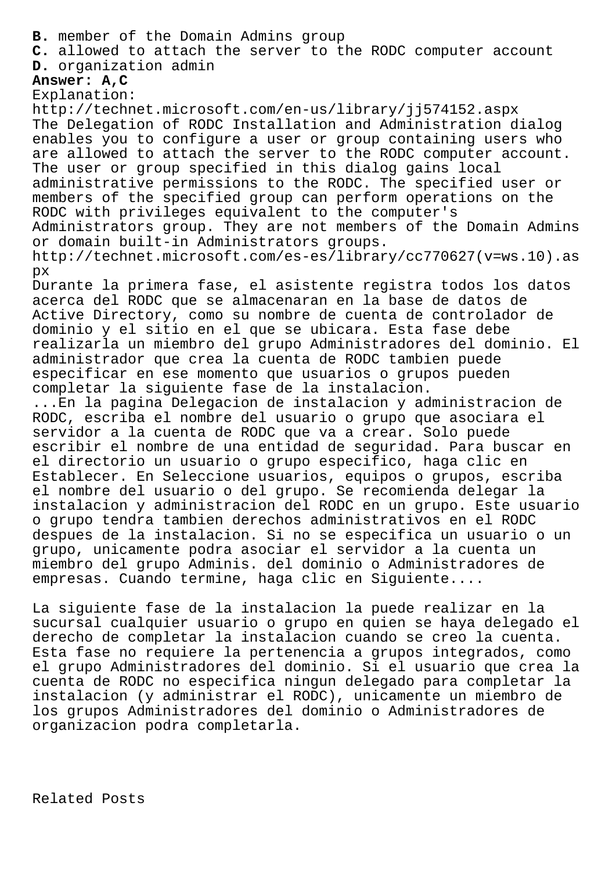- **B.** member of the Domain Admins group
- **C.** allowed to attach the server to the RODC computer account
- **D.** organization admin

## **Answer: A,C**

Explanation:

http://technet.microsoft.com/en-us/library/jj574152.aspx The Delegation of RODC Installation and Administration dialog enables you to configure a user or group containing users who are allowed to attach the server to the RODC computer account. The user or group specified in this dialog gains local administrative permissions to the RODC. The specified user or members of the specified group can perform operations on the RODC with privileges equivalent to the computer's Administrators group. They are not members of the Domain Admins or domain built-in Administrators groups. http://technet.microsoft.com/es-es/library/cc770627(v=ws.10).as px Durante la primera fase, el asistente registra todos los datos acerca del RODC que se almacenaran en la base de datos de Active Directory, como su nombre de cuenta de controlador de dominio y el sitio en el que se ubicara. Esta fase debe realizarla un miembro del grupo Administradores del dominio. El administrador que crea la cuenta de RODC tambien puede especificar en ese momento que usuarios o grupos pueden completar la siguiente fase de la instalacion. ...En la pagina Delegacion de instalacion y administracion de RODC, escriba el nombre del usuario o grupo que asociara el servidor a la cuenta de RODC que va a crear. Solo puede escribir el nombre de una entidad de seguridad. Para buscar en el directorio un usuario o grupo especifico, haga clic en

Establecer. En Seleccione usuarios, equipos o grupos, escriba el nombre del usuario o del grupo. Se recomienda delegar la instalacion y administracion del RODC en un grupo. Este usuario o grupo tendra tambien derechos administrativos en el RODC despues de la instalacion. Si no se especifica un usuario o un grupo, unicamente podra asociar el servidor a la cuenta un miembro del grupo Adminis. del dominio o Administradores de empresas. Cuando termine, haga clic en Siguiente....

La siguiente fase de la instalacion la puede realizar en la sucursal cualquier usuario o grupo en quien se haya delegado el derecho de completar la instalacion cuando se creo la cuenta. Esta fase no requiere la pertenencia a grupos integrados, como el grupo Administradores del dominio. Si el usuario que crea la cuenta de RODC no especifica ningun delegado para completar la instalacion (y administrar el RODC), unicamente un miembro de los grupos Administradores del dominio o Administradores de organizacion podra completarla.